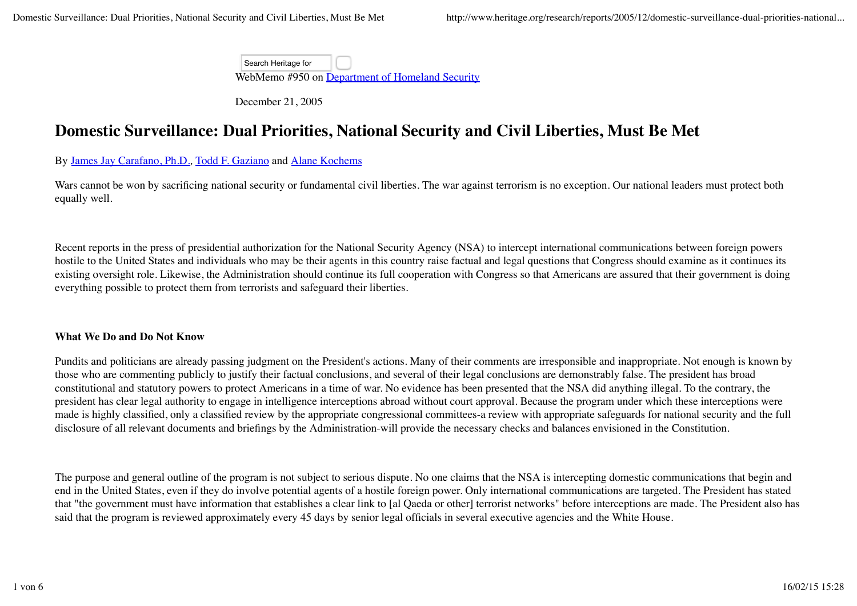Search Heritage for

WebMemo #950 on Department of Homeland Security

December 21, 2005

# **Domestic Surveillance: Dual Priorities, National Security and Civil Liberties, Must Be Met**

## By James Jay Carafano, Ph.D.*,* Todd F. Gaziano and Alane Kochems

Wars cannot be won by sacrificing national security or fundamental civil liberties. The war against terrorism is no exception. Our national leaders must protect both equally well.

Recent reports in the press of presidential authorization for the National Security Agency (NSA) to intercept international communications between foreign powers hostile to the United States and individuals who may be their agents in this country raise factual and legal questions that Congress should examine as it continues its existing oversight role. Likewise, the Administration should continue its full cooperation with Congress so that Americans are assured that their government is doing everything possible to protect them from terrorists and safeguard their liberties.

## **What We Do and Do Not Know**

Pundits and politicians are already passing judgment on the President's actions. Many of their comments are irresponsible and inappropriate. Not enough is known by those who are commenting publicly to justify their factual conclusions, and several of their legal conclusions are demonstrably false. The president has broad constitutional and statutory powers to protect Americans in a time of war. No evidence has been presented that the NSA did anything illegal. To the contrary, the president has clear legal authority to engage in intelligence interceptions abroad without court approval. Because the program under which these interceptions were made is highly classified, only a classified review by the appropriate congressional committees-a review with appropriate safeguards for national security and the full disclosure of all relevant documents and briefings by the Administration-will provide the necessary checks and balances envisioned in the Constitution.

The purpose and general outline of the program is not subject to serious dispute. No one claims that the NSA is intercepting domestic communications that begin and end in the United States, even if they do involve potential agents of a hostile foreign power. Only international communications are targeted. The President has stated that "the government must have information that establishes a clear link to [al Qaeda or other] terrorist networks" before interceptions are made. The President also has said that the program is reviewed approximately every 45 days by senior legal officials in several executive agencies and the White House.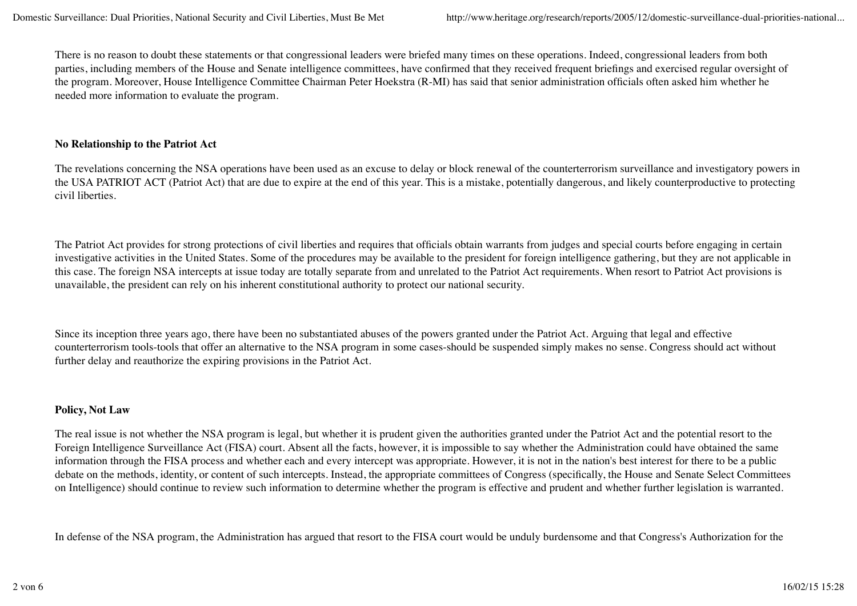There is no reason to doubt these statements or that congressional leaders were briefed many times on these operations. Indeed, congressional leaders from both parties, including members of the House and Senate intelligence committees, have confirmed that they received frequent briefings and exercised regular oversight of the program. Moreover, House Intelligence Committee Chairman Peter Hoekstra (R-MI) has said that senior administration officials often asked him whether he needed more information to evaluate the program.

### **No Relationship to the Patriot Act**

The revelations concerning the NSA operations have been used as an excuse to delay or block renewal of the counterterrorism surveillance and investigatory powers in the USA PATRIOT ACT (Patriot Act) that are due to expire at the end of this year. This is a mistake, potentially dangerous, and likely counterproductive to protecting civil liberties.

The Patriot Act provides for strong protections of civil liberties and requires that officials obtain warrants from judges and special courts before engaging in certain investigative activities in the United States. Some of the procedures may be available to the president for foreign intelligence gathering, but they are not applicable in this case. The foreign NSA intercepts at issue today are totally separate from and unrelated to the Patriot Act requirements. When resort to Patriot Act provisions is unavailable, the president can rely on his inherent constitutional authority to protect our national security.

Since its inception three years ago, there have been no substantiated abuses of the powers granted under the Patriot Act. Arguing that legal and effective counterterrorism tools-tools that offer an alternative to the NSA program in some cases-should be suspended simply makes no sense. Congress should act without further delay and reauthorize the expiring provisions in the Patriot Act.

## **Policy, Not Law**

The real issue is not whether the NSA program is legal, but whether it is prudent given the authorities granted under the Patriot Act and the potential resort to the Foreign Intelligence Surveillance Act (FISA) court. Absent all the facts, however, it is impossible to say whether the Administration could have obtained the same information through the FISA process and whether each and every intercept was appropriate. However, it is not in the nation's best interest for there to be a public debate on the methods, identity, or content of such intercepts. Instead, the appropriate committees of Congress (specifically, the House and Senate Select Committees on Intelligence) should continue to review such information to determine whether the program is effective and prudent and whether further legislation is warranted.

In defense of the NSA program, the Administration has argued that resort to the FISA court would be unduly burdensome and that Congress's Authorization for the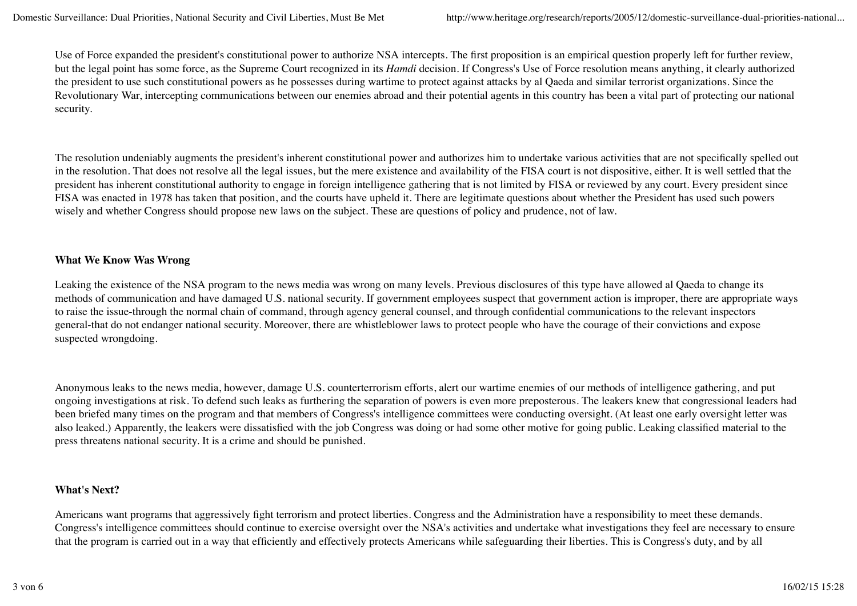Use of Force expanded the president's constitutional power to authorize NSA intercepts. The first proposition is an empirical question properly left for further review, but the legal point has some force, as the Supreme Court recognized in its *Hamdi* decision. If Congress's Use of Force resolution means anything, it clearly authorized the president to use such constitutional powers as he possesses during wartime to protect against attacks by al Qaeda and similar terrorist organizations. Since the Revolutionary War, intercepting communications between our enemies abroad and their potential agents in this country has been a vital part of protecting our national security.

The resolution undeniably augments the president's inherent constitutional power and authorizes him to undertake various activities that are not specifically spelled out in the resolution. That does not resolve all the legal issues, but the mere existence and availability of the FISA court is not dispositive, either. It is well settled that the president has inherent constitutional authority to engage in foreign intelligence gathering that is not limited by FISA or reviewed by any court. Every president since FISA was enacted in 1978 has taken that position, and the courts have upheld it. There are legitimate questions about whether the President has used such powers wisely and whether Congress should propose new laws on the subject. These are questions of policy and prudence, not of law.

## **What We Know Was Wrong**

Leaking the existence of the NSA program to the news media was wrong on many levels. Previous disclosures of this type have allowed al Qaeda to change its methods of communication and have damaged U.S. national security. If government employees suspect that government action is improper, there are appropriate ways to raise the issue-through the normal chain of command, through agency general counsel, and through confidential communications to the relevant inspectors general-that do not endanger national security. Moreover, there are whistleblower laws to protect people who have the courage of their convictions and expose suspected wrongdoing.

Anonymous leaks to the news media, however, damage U.S. counterterrorism efforts, alert our wartime enemies of our methods of intelligence gathering, and put ongoing investigations at risk. To defend such leaks as furthering the separation of powers is even more preposterous. The leakers knew that congressional leaders had been briefed many times on the program and that members of Congress's intelligence committees were conducting oversight. (At least one early oversight letter was also leaked.) Apparently, the leakers were dissatisfied with the job Congress was doing or had some other motive for going public. Leaking classified material to the press threatens national security. It is a crime and should be punished.

## **What's Next?**

Americans want programs that aggressively fight terrorism and protect liberties. Congress and the Administration have a responsibility to meet these demands. Congress's intelligence committees should continue to exercise oversight over the NSA's activities and undertake what investigations they feel are necessary to ensure that the program is carried out in a way that efficiently and effectively protects Americans while safeguarding their liberties. This is Congress's duty, and by all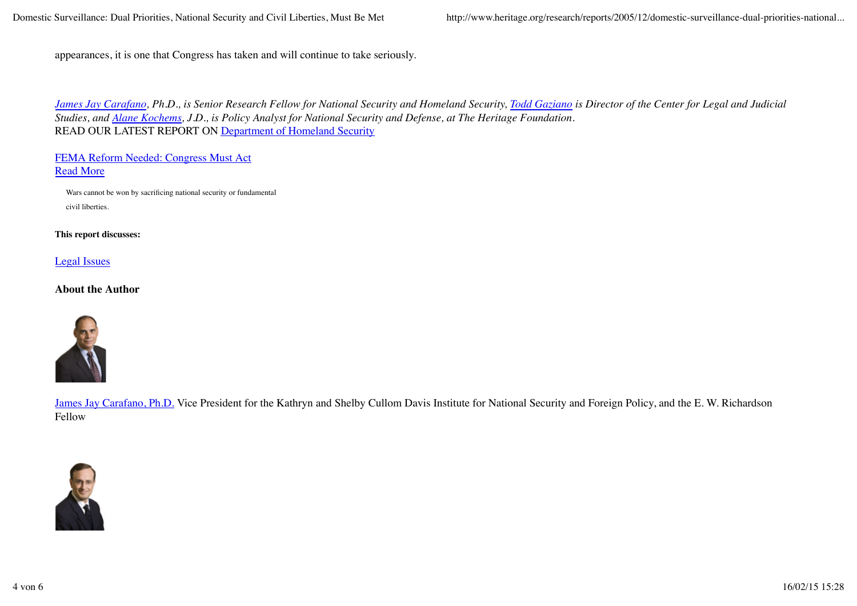appearances, it is one that Congress has taken and will continue to take seriously.

*James Jay Carafano, Ph.D., is Senior Research Fellow for National Security and Homeland Security, Todd Gaziano is Director of the Center for Legal and Judicial Studies, and Alane Kochems, J.D., is Policy Analyst for National Security and Defense, at The Heritage Foundation.* READ OUR LATEST REPORT ON Department of Homeland Security

#### FEMA Reform Needed: Congress Must Act Read More

Wars cannot be won by sacrificing national security or fundamental civil liberties.

#### **This report discusses:**

Legal Issues

#### **About the Author**



James Jay Carafano, Ph.D. Vice President for the Kathryn and Shelby Cullom Davis Institute for National Security and Foreign Policy, and the E. W. Richardson Fellow

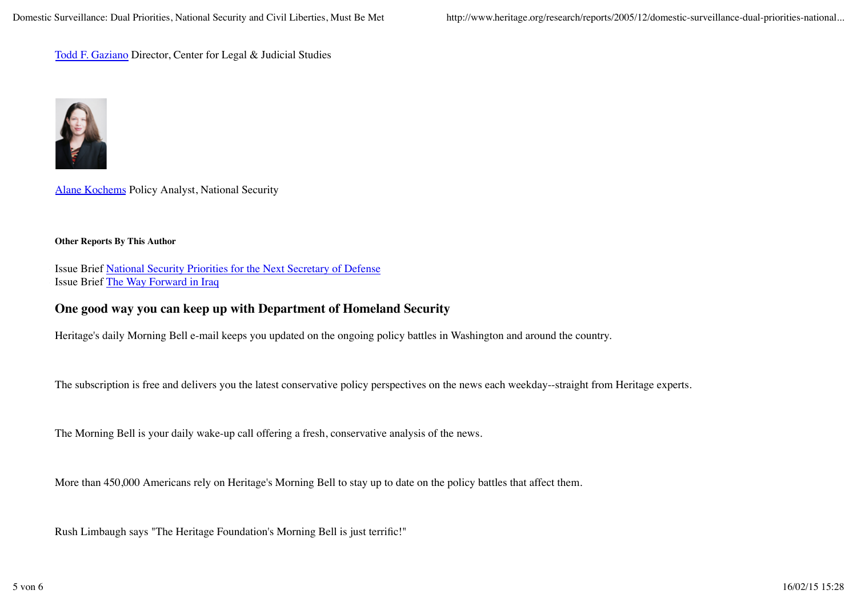Todd F. Gaziano Director, Center for Legal & Judicial Studies



Alane Kochems Policy Analyst, National Security

#### **Other Reports By This Author**

Issue Brief National Security Priorities for the Next Secretary of Defense Issue Brief The Way Forward in Iraq

# **One good way you can keep up with Department of Homeland Security**

Heritage's daily Morning Bell e-mail keeps you updated on the ongoing policy battles in Washington and around the country.

The subscription is free and delivers you the latest conservative policy perspectives on the news each weekday--straight from Heritage experts.

The Morning Bell is your daily wake-up call offering a fresh, conservative analysis of the news.

More than 450,000 Americans rely on Heritage's Morning Bell to stay up to date on the policy battles that affect them.

Rush Limbaugh says "The Heritage Foundation's Morning Bell is just terrific!"